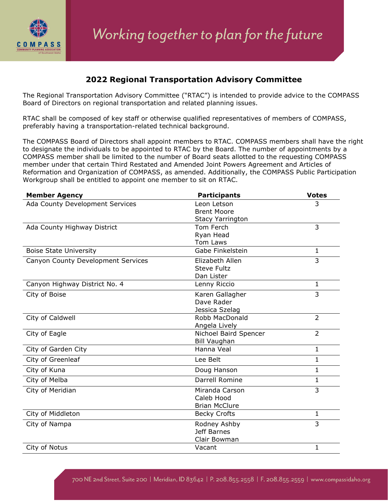

## **2022 Regional Transportation Advisory Committee**

The Regional Transportation Advisory Committee ("RTAC") is intended to provide advice to the COMPASS Board of Directors on regional transportation and related planning issues.

RTAC shall be composed of key staff or otherwise qualified representatives of members of COMPASS, preferably having a transportation-related technical background.

The COMPASS Board of Directors shall appoint members to RTAC. COMPASS members shall have the right to designate the individuals to be appointed to RTAC by the Board. The number of appointments by a COMPASS member shall be limited to the number of Board seats allotted to the requesting COMPASS member under that certain Third Restated and Amended Joint Powers Agreement and Articles of Reformation and Organization of COMPASS, as amended. Additionally, the COMPASS Public Participation Workgroup shall be entitled to appoint one member to sit on RTAC.

| <b>Member Agency</b>               | <b>Participants</b>     | <b>Votes</b>   |
|------------------------------------|-------------------------|----------------|
| Ada County Development Services    | Leon Letson             | 3              |
|                                    | <b>Brent Moore</b>      |                |
|                                    | <b>Stacy Yarrington</b> |                |
| Ada County Highway District        | Tom Ferch               | 3              |
|                                    | Ryan Head               |                |
|                                    | Tom Laws                |                |
| <b>Boise State University</b>      | Gabe Finkelstein        | $\mathbf{1}$   |
| Canyon County Development Services | Elizabeth Allen         | $\overline{3}$ |
|                                    | <b>Steve Fultz</b>      |                |
|                                    | Dan Lister              |                |
| Canyon Highway District No. 4      | Lenny Riccio            | 1              |
| City of Boise                      | Karen Gallagher         | 3              |
|                                    | Dave Rader              |                |
|                                    | Jessica Szelag          |                |
| City of Caldwell                   | Robb MacDonald          | $\overline{2}$ |
|                                    | Angela Lively           |                |
| City of Eagle                      | Nichoel Baird Spencer   | $\overline{2}$ |
|                                    | <b>Bill Vaughan</b>     |                |
| City of Garden City                | Hanna Veal              | $\mathbf{1}$   |
| City of Greenleaf                  | Lee Belt                | $\overline{1}$ |
| City of Kuna                       | Doug Hanson             | $\mathbf{1}$   |
| City of Melba                      | Darrell Romine          | $\mathbf{1}$   |
| City of Meridian                   | Miranda Carson          | $\overline{3}$ |
|                                    | Caleb Hood              |                |
|                                    | <b>Brian McClure</b>    |                |
| City of Middleton                  | <b>Becky Crofts</b>     | $\mathbf{1}$   |
| City of Nampa                      | Rodney Ashby            | $\overline{3}$ |
|                                    | Jeff Barnes             |                |
|                                    | Clair Bowman            |                |
| City of Notus                      | Vacant                  | 1              |